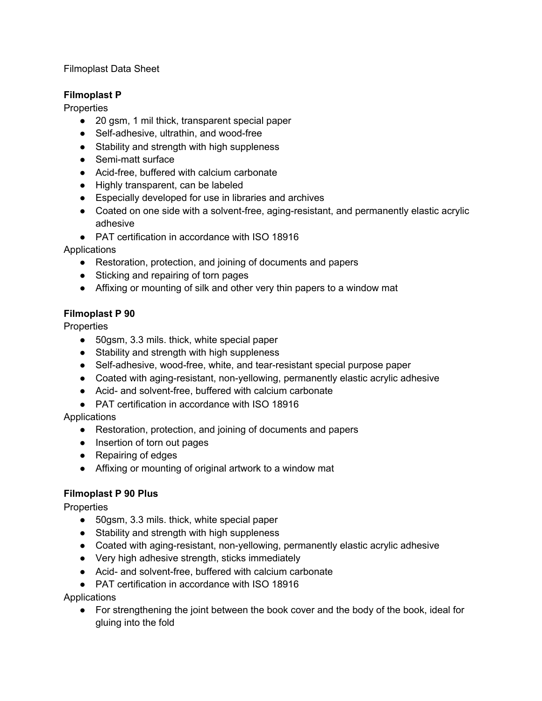### Filmoplast Data Sheet

#### **Filmoplast P**

**Properties** 

- 20 gsm, 1 mil thick, transparent special paper
- Self-adhesive, ultrathin, and wood-free
- Stability and strength with high suppleness
- Semi-matt surface
- Acid-free, buffered with calcium carbonate
- Highly transparent, can be labeled
- Especially developed for use in libraries and archives
- Coated on one side with a solvent-free, aging-resistant, and permanently elastic acrylic adhesive
- PAT certification in accordance with ISO 18916

**Applications** 

- Restoration, protection, and joining of documents and papers
- Sticking and repairing of torn pages
- Affixing or mounting of silk and other very thin papers to a window mat

#### **Filmoplast P 90**

**Properties** 

- 50gsm, 3.3 mils. thick, white special paper
- Stability and strength with high suppleness
- Self-adhesive, wood-free, white, and tear-resistant special purpose paper
- Coated with aging-resistant, non-yellowing, permanently elastic acrylic adhesive
- Acid- and solvent-free, buffered with calcium carbonate
- PAT certification in accordance with ISO 18916

**Applications** 

- Restoration, protection, and joining of documents and papers
- Insertion of torn out pages
- Repairing of edges
- Affixing or mounting of original artwork to a window mat

# **Filmoplast P 90 Plus**

**Properties** 

- 50gsm, 3.3 mils. thick, white special paper
- Stability and strength with high suppleness
- Coated with aging-resistant, non-yellowing, permanently elastic acrylic adhesive
- Very high adhesive strength, sticks immediately
- Acid- and solvent-free, buffered with calcium carbonate
- PAT certification in accordance with ISO 18916

**Applications** 

• For strengthening the joint between the book cover and the body of the book, ideal for gluing into the fold